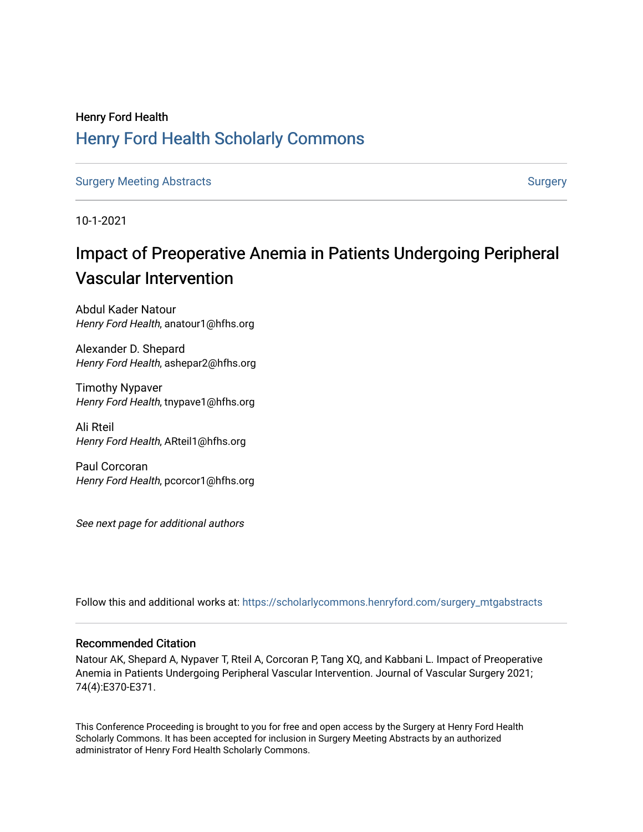## Henry Ford Health [Henry Ford Health Scholarly Commons](https://scholarlycommons.henryford.com/)

[Surgery Meeting Abstracts](https://scholarlycommons.henryford.com/surgery_mtgabstracts) **[Surgery](https://scholarlycommons.henryford.com/surgery) Meeting Abstracts** Surgery Surgery Surgery Surgery

10-1-2021

# Impact of Preoperative Anemia in Patients Undergoing Peripheral Vascular Intervention

Abdul Kader Natour Henry Ford Health, anatour1@hfhs.org

Alexander D. Shepard Henry Ford Health, ashepar2@hfhs.org

Timothy Nypaver Henry Ford Health, tnypave1@hfhs.org

Ali Rteil Henry Ford Health, ARteil1@hfhs.org

Paul Corcoran Henry Ford Health, pcorcor1@hfhs.org

See next page for additional authors

Follow this and additional works at: [https://scholarlycommons.henryford.com/surgery\\_mtgabstracts](https://scholarlycommons.henryford.com/surgery_mtgabstracts?utm_source=scholarlycommons.henryford.com%2Fsurgery_mtgabstracts%2F217&utm_medium=PDF&utm_campaign=PDFCoverPages) 

## Recommended Citation

Natour AK, Shepard A, Nypaver T, Rteil A, Corcoran P, Tang XQ, and Kabbani L. Impact of Preoperative Anemia in Patients Undergoing Peripheral Vascular Intervention. Journal of Vascular Surgery 2021; 74(4):E370-E371.

This Conference Proceeding is brought to you for free and open access by the Surgery at Henry Ford Health Scholarly Commons. It has been accepted for inclusion in Surgery Meeting Abstracts by an authorized administrator of Henry Ford Health Scholarly Commons.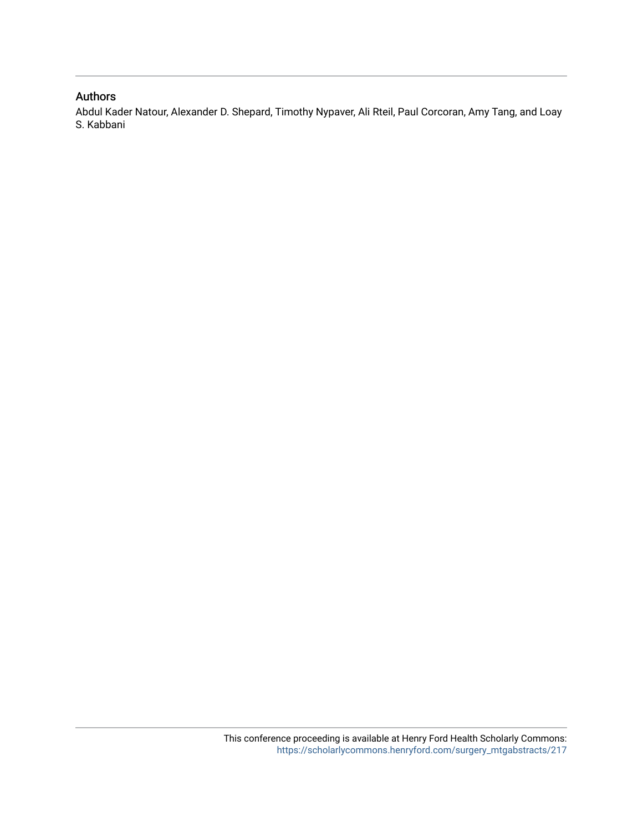## Authors

Abdul Kader Natour, Alexander D. Shepard, Timothy Nypaver, Ali Rteil, Paul Corcoran, Amy Tang, and Loay S. Kabbani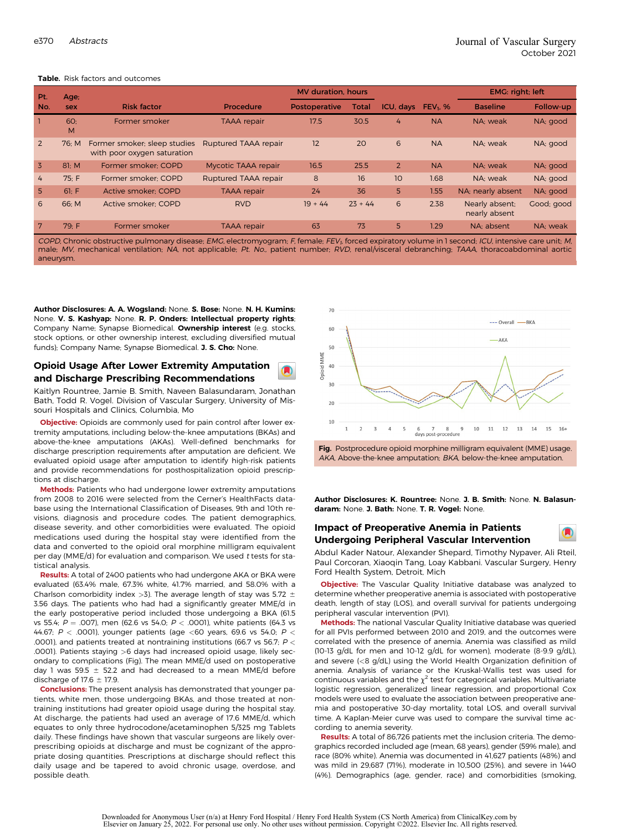| Pt.                                                                                                                                           | Age:            |                                                             | EMG: right; left     |                      |              |                |            |                                 |            |  |  |  |
|-----------------------------------------------------------------------------------------------------------------------------------------------|-----------------|-------------------------------------------------------------|----------------------|----------------------|--------------|----------------|------------|---------------------------------|------------|--|--|--|
| No.                                                                                                                                           | sex             | <b>Risk factor</b>                                          | Procedure            | <b>Postoperative</b> | <b>Total</b> | ICU, days      | $FEV1$ , % | <b>Baseline</b>                 | Follow-up  |  |  |  |
|                                                                                                                                               | <b>60:</b><br>M | Former smoker                                               | <b>TAAA</b> repair   | 17.5                 | 30.5         | 4              | <b>NA</b>  | NA: weak                        | NA; good   |  |  |  |
| $\overline{2}$                                                                                                                                | 76: M           | Former smoker; sleep studies<br>with poor oxygen saturation | Ruptured TAAA repair | 12                   | 20           | 6              | <b>NA</b>  | NA: weak                        | NA; good   |  |  |  |
| $\overline{3}$                                                                                                                                | 81: M           | Former smoker: COPD                                         | Mycotic TAAA repair  | 16.5                 | 25.5         | $\overline{2}$ | <b>NA</b>  | NA: weak                        | NA; good   |  |  |  |
| 4                                                                                                                                             | 75: F           | Former smoker: COPD                                         | Ruptured TAAA repair | 8                    | 16           | 10             | 1.68       | NA: weak                        | NA; good   |  |  |  |
| 5.                                                                                                                                            | 61: F           | Active smoker: COPD                                         | <b>TAAA</b> repair   | 24                   | 36           | 5              | 1.55       | NA; nearly absent               | NA; good   |  |  |  |
| 6                                                                                                                                             | 66; M           | Active smoker: COPD                                         | <b>RVD</b>           | $19 + 44$            | $23 + 44$    | 6              | 2.38       | Nearly absent;<br>nearly absent | Good; good |  |  |  |
| $7^{\circ}$                                                                                                                                   | 79: F           | Former smoker                                               | <b>TAAA</b> repair   | 63                   | 73           | 5              | 1.29       | NA: absent                      | NA: weak   |  |  |  |
| CODD Chronic electricative mulgeness disease. FMC electronaryone E female. FFV female projectes unluses in Leonard ICU intensive save unit. M |                 |                                                             |                      |                      |              |                |            |                                 |            |  |  |  |

#### Table. Disk factors and outcomes

*COPD,* Chronic obstructive pulmonary disease; *EMG,* electromyogram; *F,* female; *FEV<sub>1</sub>,* forced expiratory volume in 1 second; *ICU,* intensive care unit; *M,*<br>male; *MV, mechanical ventilation; NA, not applicable* aneurysm.

Author Disclosures: A. A. Wogsland: None. S. Bose: None. N. H. Kumins: None. V. S. Kashyap: None. R. P. Onders: Intellectual property rights; Company Name; Synapse Biomedical. Ownership interest (e.g. stocks, stock options, or other ownership interest, excluding diversified mutual funds); Company Name; Synapse Biomedical. J. S. Cho: None.

## Opioid Usage After Lower Extremity Amputation and Discharge Prescribing Recommendations

Kaitlyn Rountree, Jamie B. Smith, Naveen Balasundaram, Jonathan Bath, Todd R. Vogel. Division of Vascular Surgery, University of Missouri Hospitals and Clinics, Columbia, Mo

**Objective:** Opioids are commonly used for pain control after lower extremity amputations, including below-the-knee amputations (BKAs) and above-the-knee amputations (AKAs). Well-defined benchmarks for discharge prescription requirements after amputation are deficient. We evaluated opioid usage after amputation to identify high-risk patients and provide recommendations for posthospitalization opioid prescriptions at discharge.

Methods: Patients who had undergone lower extremity amputations from 2008 to 2016 were selected from the Cerner's HealthFacts database using the International Classification of Diseases, 9th and 10th revisions, diagnosis and procedure codes. The patient demographics, disease severity, and other comorbidities were evaluated. The opioid medications used during the hospital stay were identified from the data and converted to the opioid oral morphine milligram equivalent per day (MME/d) for evaluation and comparison. We used <sup>t</sup> tests for statistical analysis.

Results: A total of 2400 patients who had undergone AKA or BKA were evaluated (63.4% male, 67.3% white, 41.7% married, and 58.0% with a Charlson comorbidity index  $>$ 3). The average length of stay was 5.72  $\pm$ 3.56 days. The patients who had had a significantly greater MME/d in the early postoperative period included those undergoing a BKA (61.5 vs 55.4;  $P = .007$ ), men (62.6 vs 54.0;  $P < .0001$ ), white patients (64.3 vs 44.67; P < .0001), younger patients (age <60 years, 69.6 vs 54.0; P < .0001), and patients treated at nontraining institutions (66.7 vs 56.7;  $P <$ .0001). Patients staying >6 days had increased opioid usage, likely secondary to complications (Fig). The mean MME/d used on postoperative day 1 was 59.5  $\pm$  52.2 and had decreased to a mean MME/d before discharge of 17.6  $\pm$  17.9.

Conclusions: The present analysis has demonstrated that younger patients, white men, those undergoing BKAs, and those treated at nontraining institutions had greater opioid usage during the hospital stay. At discharge, the patients had used an average of 17.6 MME/d, which equates to only three hydrocodone/acetaminophen 5/325 mg Tablets daily. These findings have shown that vascular surgeons are likely overprescribing opioids at discharge and must be cognizant of the appropriate dosing quantities. Prescriptions at discharge should reflect this daily usage and be tapered to avoid chronic usage, overdose, and possible death.





Author Disclosures: K. Rountree: None. J. B. Smith: None. N. Balasundaram: None. J. Bath: None. T. R. Vogel: None.

## Impact of Preoperative Anemia in Patients Undergoing Peripheral Vascular Intervention

Abdul Kader Natour, Alexander Shepard, Timothy Nypaver, Ali Rteil, Paul Corcoran, Xiaoqin Tang, Loay Kabbani. Vascular Surgery, Henry Ford Health System, Detroit, Mich

A

Objective: The Vascular Quality Initiative database was analyzed to determine whether preoperative anemia is associated with postoperative death, length of stay (LOS), and overall survival for patients undergoing peripheral vascular intervention (PVI).

Methods: The national Vascular Quality Initiative database was queried for all PVIs performed between 2010 and 2019, and the outcomes were correlated with the presence of anemia. Anemia was classified as mild (10-13 g/dL for men and 10-12 g/dL for women), moderate (8-9.9 g/dL), and severe (<8 g/dL) using the World Health Organization definition of anemia. Analysis of variance or the Kruskal-Wallis test was used for continuous variables and the  $\chi^2$  test for categorical variables. Multivariate logistic regression, generalized linear regression, and proportional Cox models were used to evaluate the association between preoperative anemia and postoperative 30-day mortality, total LOS, and overall survival time. A Kaplan-Meier curve was used to compare the survival time according to anemia severity.

Results: A total of 86,726 patients met the inclusion criteria. The demographics recorded included age (mean, 68 years), gender (59% male), and race (80% white). Anemia was documented in 41,627 patients (48%) and was mild in 29,687 (71%), moderate in 10,500 (25%), and severe in 1440 (4%). Demographics (age, gender, race) and comorbidities (smoking,